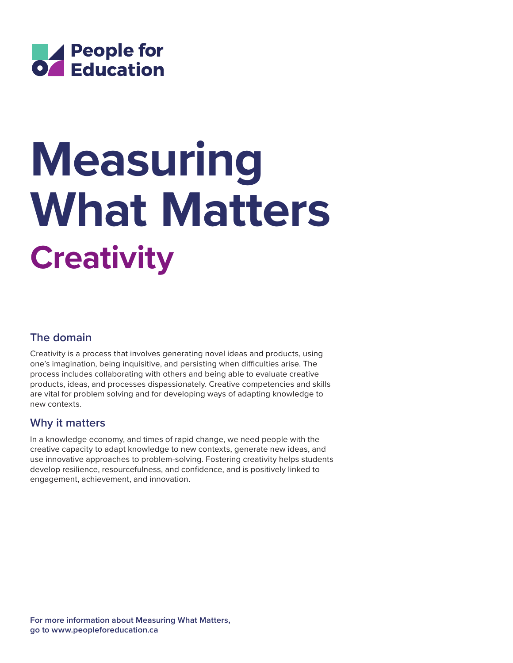

# **Creativity Measuring What Matters**

## **The domain**

Creativity is a process that involves generating novel ideas and products, using one's imagination, being inquisitive, and persisting when difficulties arise. The process includes collaborating with others and being able to evaluate creative products, ideas, and processes dispassionately. Creative competencies and skills are vital for problem solving and for developing ways of adapting knowledge to new contexts.

### **Why it matters**

In a knowledge economy, and times of rapid change, we need people with the creative capacity to adapt knowledge to new contexts, generate new ideas, and use innovative approaches to problem-solving. Fostering creativity helps students develop resilience, resourcefulness, and confidence, and is positively linked to engagement, achievement, and innovation.